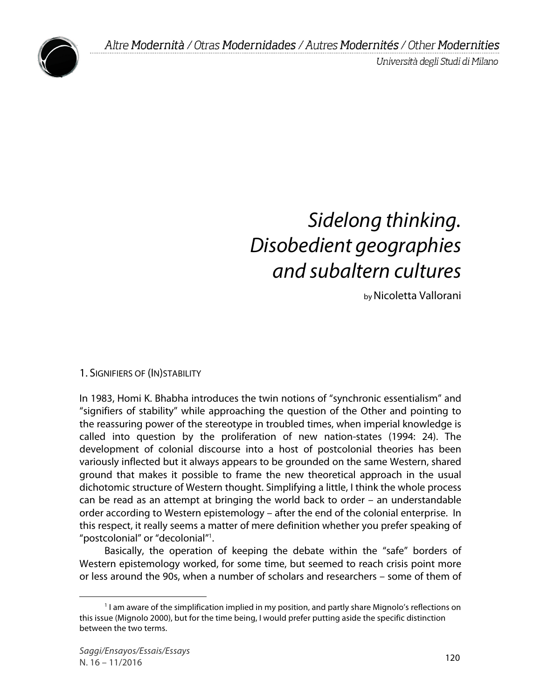Università degli Studi di Milano



# *Sidelong thinking. Disobedient geographies and subaltern cultures*

byNicoletta Vallorani

1. SIGNIFIERS OF (IN)STABILITY

In 1983, Homi K. Bhabha introduces the twin notions of "synchronic essentialism" and "signifiers of stability" while approaching the question of the Other and pointing to the reassuring power of the stereotype in troubled times, when imperial knowledge is called into question by the proliferation of new nation-states (1994: 24). The development of colonial discourse into a host of postcolonial theories has been variously inflected but it always appears to be grounded on the same Western, shared ground that makes it possible to frame the new theoretical approach in the usual dichotomic structure of Western thought. Simplifying a little, I think the whole process can be read as an attempt at bringing the world back to order – an understandable order according to Western epistemology – after the end of the colonial enterprise. In this respect, it really seems a matter of mere definition whether you prefer speaking of "postcolonial" or "decolonial"1 .

Basically, the operation of keeping the debate within the "safe" borders of Western epistemology worked, for some time, but seemed to reach crisis point more or less around the 90s, when a number of scholars and researchers – some of them of

<sup>&</sup>lt;sup>1</sup> I am aware of the simplification implied in my position, and partly share Mignolo's reflections on this issue (Mignolo 2000), but for the time being, I would prefer putting aside the specific distinction between the two terms.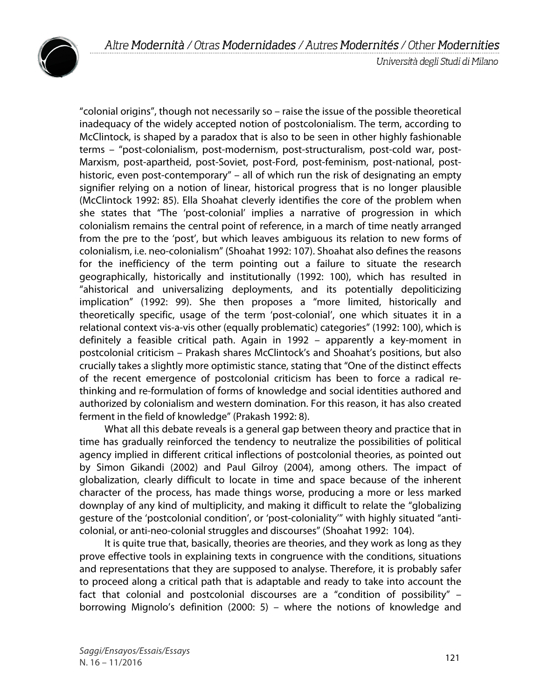

Università degli Studi di Milano

"colonial origins", though not necessarily so – raise the issue of the possible theoretical inadequacy of the widely accepted notion of postcolonialism. The term, according to McClintock, is shaped by a paradox that is also to be seen in other highly fashionable terms – "post-colonialism, post-modernism, post-structuralism, post-cold war, post-Marxism, post-apartheid, post-Soviet, post-Ford, post-feminism, post-national, posthistoric, even post-contemporary" – all of which run the risk of designating an empty signifier relying on a notion of linear, historical progress that is no longer plausible (McClintock 1992: 85). Ella Shoahat cleverly identifies the core of the problem when she states that "The 'post-colonial' implies a narrative of progression in which colonialism remains the central point of reference, in a march of time neatly arranged from the pre to the 'post', but which leaves ambiguous its relation to new forms of colonialism, i.e. neo-colonialism" (Shoahat 1992: 107). Shoahat also defines the reasons for the inefficiency of the term pointing out a failure to situate the research geographically, historically and institutionally (1992: 100), which has resulted in "ahistorical and universalizing deployments, and its potentially depoliticizing implication" (1992: 99). She then proposes a "more limited, historically and theoretically specific, usage of the term 'post-colonial', one which situates it in a relational context vis-a-vis other (equally problematic) categories" (1992: 100), which is definitely a feasible critical path. Again in 1992 – apparently a key-moment in postcolonial criticism – Prakash shares McClintock's and Shoahat's positions, but also crucially takes a slightly more optimistic stance, stating that "One of the distinct effects of the recent emergence of postcolonial criticism has been to force a radical rethinking and re-formulation of forms of knowledge and social identities authored and authorized by colonialism and western domination. For this reason, it has also created ferment in the field of knowledge" (Prakash 1992: 8).

What all this debate reveals is a general gap between theory and practice that in time has gradually reinforced the tendency to neutralize the possibilities of political agency implied in different critical inflections of postcolonial theories, as pointed out by Simon Gikandi (2002) and Paul Gilroy (2004), among others. The impact of globalization, clearly difficult to locate in time and space because of the inherent character of the process, has made things worse, producing a more or less marked downplay of any kind of multiplicity, and making it difficult to relate the "globalizing gesture of the 'postcolonial condition', or 'post-coloniality'" with highly situated "anticolonial, or anti-neo-colonial struggles and discourses" (Shoahat 1992: 104).

It is quite true that, basically, theories are theories, and they work as long as they prove effective tools in explaining texts in congruence with the conditions, situations and representations that they are supposed to analyse. Therefore, it is probably safer to proceed along a critical path that is adaptable and ready to take into account the fact that colonial and postcolonial discourses are a "condition of possibility" – borrowing Mignolo's definition (2000: 5) – where the notions of knowledge and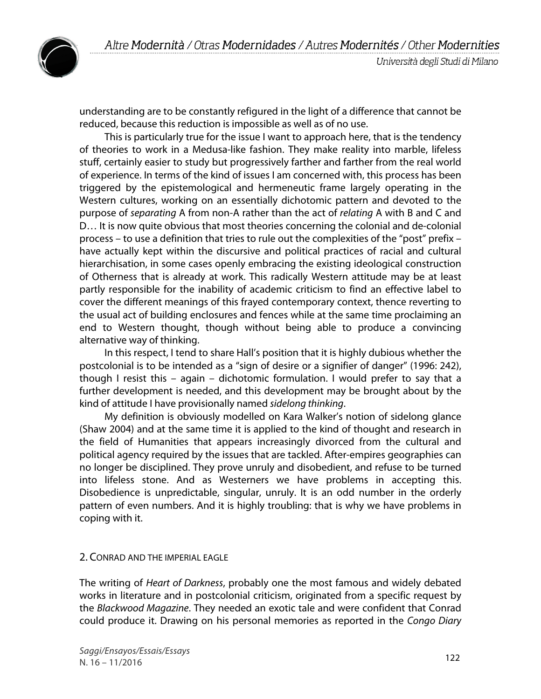



understanding are to be constantly refigured in the light of a difference that cannot be reduced, because this reduction is impossible as well as of no use.

This is particularly true for the issue I want to approach here, that is the tendency of theories to work in a Medusa-like fashion. They make reality into marble, lifeless stuff, certainly easier to study but progressively farther and farther from the real world of experience. In terms of the kind of issues I am concerned with, this process has been triggered by the epistemological and hermeneutic frame largely operating in the Western cultures, working on an essentially dichotomic pattern and devoted to the purpose of *separating* A from non-A rather than the act of *relating* A with B and C and D… It is now quite obvious that most theories concerning the colonial and de-colonial process – to use a definition that tries to rule out the complexities of the "post" prefix – have actually kept within the discursive and political practices of racial and cultural hierarchisation, in some cases openly embracing the existing ideological construction of Otherness that is already at work. This radically Western attitude may be at least partly responsible for the inability of academic criticism to find an effective label to cover the different meanings of this frayed contemporary context, thence reverting to the usual act of building enclosures and fences while at the same time proclaiming an end to Western thought, though without being able to produce a convincing alternative way of thinking.

In this respect, I tend to share Hall's position that it is highly dubious whether the postcolonial is to be intended as a "sign of desire or a signifier of danger" (1996: 242), though I resist this – again – dichotomic formulation. I would prefer to say that a further development is needed, and this development may be brought about by the kind of attitude I have provisionally named *sidelong thinking*.

My definition is obviously modelled on Kara Walker's notion of sidelong glance (Shaw 2004) and at the same time it is applied to the kind of thought and research in the field of Humanities that appears increasingly divorced from the cultural and political agency required by the issues that are tackled. After-empires geographies can no longer be disciplined. They prove unruly and disobedient, and refuse to be turned into lifeless stone. And as Westerners we have problems in accepting this. Disobedience is unpredictable, singular, unruly. It is an odd number in the orderly pattern of even numbers. And it is highly troubling: that is why we have problems in coping with it.

#### 2. CONRAD AND THE IMPERIAL EAGLE

The writing of *Heart of Darkness*, probably one the most famous and widely debated works in literature and in postcolonial criticism, originated from a specific request by the *Blackwood Magazine*. They needed an exotic tale and were confident that Conrad could produce it. Drawing on his personal memories as reported in the *Congo Diary*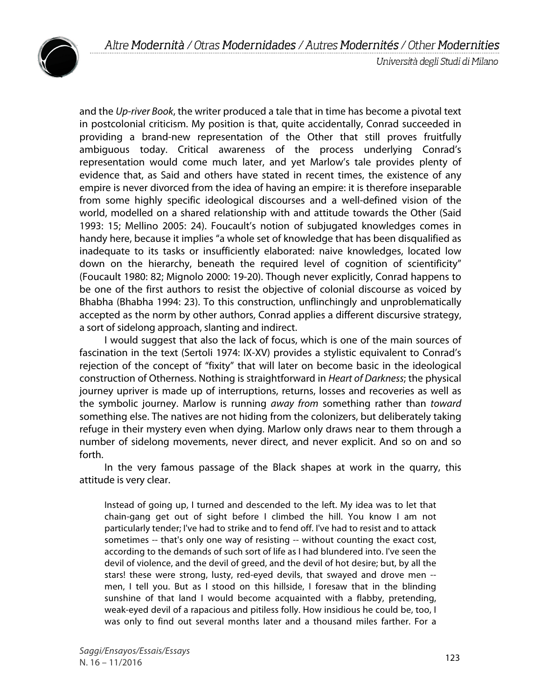

and the *Up-river Book*, the writer produced a tale that in time has become a pivotal text in postcolonial criticism. My position is that, quite accidentally, Conrad succeeded in providing a brand-new representation of the Other that still proves fruitfully ambiguous today. Critical awareness of the process underlying Conrad's representation would come much later, and yet Marlow's tale provides plenty of evidence that, as Said and others have stated in recent times, the existence of any empire is never divorced from the idea of having an empire: it is therefore inseparable from some highly specific ideological discourses and a well-defined vision of the world, modelled on a shared relationship with and attitude towards the Other (Said 1993: 15; Mellino 2005: 24). Foucault's notion of subjugated knowledges comes in handy here, because it implies "a whole set of knowledge that has been disqualified as inadequate to its tasks or insufficiently elaborated: naive knowledges, located low down on the hierarchy, beneath the required level of cognition of scientificity" (Foucault 1980: 82; Mignolo 2000: 19-20). Though never explicitly, Conrad happens to be one of the first authors to resist the objective of colonial discourse as voiced by Bhabha (Bhabha 1994: 23). To this construction, unflinchingly and unproblematically accepted as the norm by other authors, Conrad applies a different discursive strategy, a sort of sidelong approach, slanting and indirect.

I would suggest that also the lack of focus, which is one of the main sources of fascination in the text (Sertoli 1974: IX-XV) provides a stylistic equivalent to Conrad's rejection of the concept of "fixity" that will later on become basic in the ideological construction of Otherness. Nothing is straightforward in *Heart of Darkness*; the physical journey upriver is made up of interruptions, returns, losses and recoveries as well as the symbolic journey. Marlow is running *away from* something rather than *toward* something else. The natives are not hiding from the colonizers, but deliberately taking refuge in their mystery even when dying. Marlow only draws near to them through a number of sidelong movements, never direct, and never explicit. And so on and so forth.

In the very famous passage of the Black shapes at work in the quarry, this attitude is very clear.

Instead of going up, I turned and descended to the left. My idea was to let that chain-gang get out of sight before I climbed the hill. You know I am not particularly tender; I've had to strike and to fend off. I've had to resist and to attack sometimes -- that's only one way of resisting -- without counting the exact cost, according to the demands of such sort of life as I had blundered into. I've seen the devil of violence, and the devil of greed, and the devil of hot desire; but, by all the stars! these were strong, lusty, red-eyed devils, that swayed and drove men - men, I tell you. But as I stood on this hillside, I foresaw that in the blinding sunshine of that land I would become acquainted with a flabby, pretending, weak-eyed devil of a rapacious and pitiless folly. How insidious he could be, too, I was only to find out several months later and a thousand miles farther. For a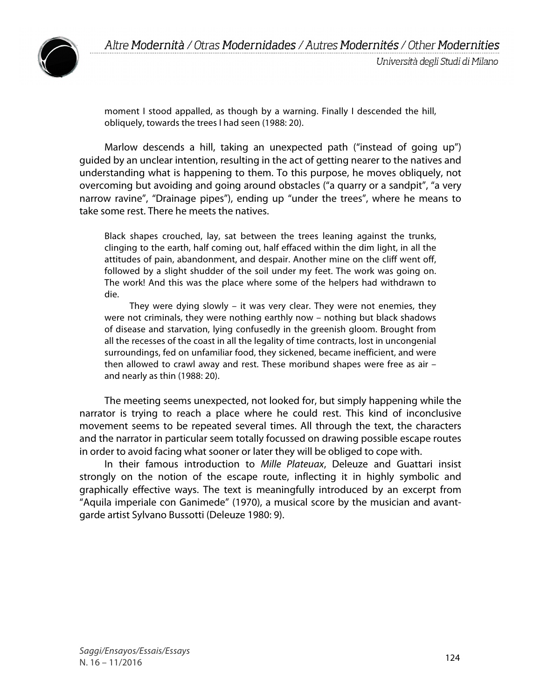

moment I stood appalled, as though by a warning. Finally I descended the hill, obliquely, towards the trees I had seen (1988: 20).

Marlow descends a hill, taking an unexpected path ("instead of going up") guided by an unclear intention, resulting in the act of getting nearer to the natives and understanding what is happening to them. To this purpose, he moves obliquely, not overcoming but avoiding and going around obstacles ("a quarry or a sandpit", "a very narrow ravine", "Drainage pipes"), ending up "under the trees", where he means to take some rest. There he meets the natives.

Black shapes crouched, lay, sat between the trees leaning against the trunks, clinging to the earth, half coming out, half effaced within the dim light, in all the attitudes of pain, abandonment, and despair. Another mine on the cliff went off, followed by a slight shudder of the soil under my feet. The work was going on. The work! And this was the place where some of the helpers had withdrawn to die.

They were dying slowly – it was very clear. They were not enemies, they were not criminals, they were nothing earthly now – nothing but black shadows of disease and starvation, lying confusedly in the greenish gloom. Brought from all the recesses of the coast in all the legality of time contracts, lost in uncongenial surroundings, fed on unfamiliar food, they sickened, became inefficient, and were then allowed to crawl away and rest. These moribund shapes were free as air – and nearly as thin (1988: 20).

The meeting seems unexpected, not looked for, but simply happening while the narrator is trying to reach a place where he could rest. This kind of inconclusive movement seems to be repeated several times. All through the text, the characters and the narrator in particular seem totally focussed on drawing possible escape routes in order to avoid facing what sooner or later they will be obliged to cope with.

In their famous introduction to *Mille Plateuax*, Deleuze and Guattari insist strongly on the notion of the escape route, inflecting it in highly symbolic and graphically effective ways. The text is meaningfully introduced by an excerpt from "Aquila imperiale con Ganimede" (1970), a musical score by the musician and avantgarde artist Sylvano Bussotti (Deleuze 1980: 9).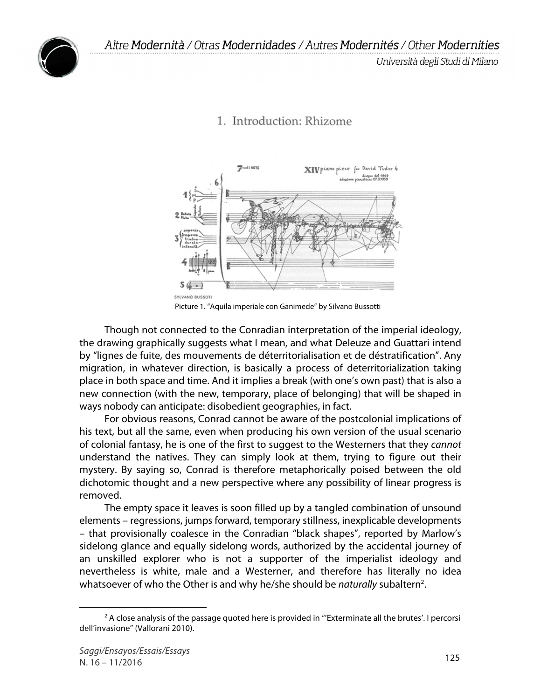

## 1. Introduction: Rhizome



Picture 1. "Aquila imperiale con Ganimede" by Silvano Bussotti

Though not connected to the Conradian interpretation of the imperial ideology, the drawing graphically suggests what I mean, and what Deleuze and Guattari intend by "lignes de fuite, des mouvements de déterritorialisation et de déstratification". Any migration, in whatever direction, is basically a process of deterritorialization taking place in both space and time. And it implies a break (with one's own past) that is also a new connection (with the new, temporary, place of belonging) that will be shaped in ways nobody can anticipate: disobedient geographies, in fact.

For obvious reasons, Conrad cannot be aware of the postcolonial implications of his text, but all the same, even when producing his own version of the usual scenario of colonial fantasy, he is one of the first to suggest to the Westerners that they *cannot* understand the natives. They can simply look at them, trying to figure out their mystery. By saying so, Conrad is therefore metaphorically poised between the old dichotomic thought and a new perspective where any possibility of linear progress is removed.

The empty space it leaves is soon filled up by a tangled combination of unsound elements – regressions, jumps forward, temporary stillness, inexplicable developments – that provisionally coalesce in the Conradian "black shapes", reported by Marlow's sidelong glance and equally sidelong words, authorized by the accidental journey of an unskilled explorer who is not a supporter of the imperialist ideology and nevertheless is white, male and a Westerner, and therefore has literally no idea whatsoever of who the Other is and why he/she should be *naturally* subaltern<sup>2</sup>.

 $2$  A close analysis of the passage quoted here is provided in "Exterminate all the brutes'. I percorsi dell'invasione" (Vallorani 2010).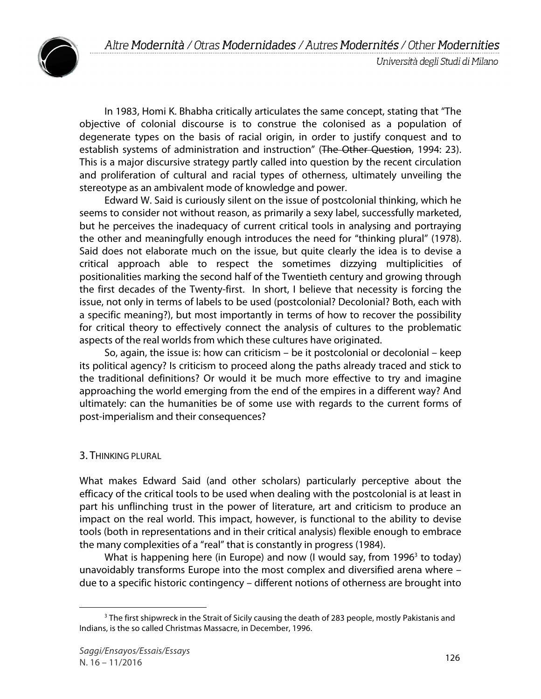

In 1983, Homi K. Bhabha critically articulates the same concept, stating that "The objective of colonial discourse is to construe the colonised as a population of degenerate types on the basis of racial origin, in order to justify conquest and to establish systems of administration and instruction" (The Other Question, 1994: 23). This is a major discursive strategy partly called into question by the recent circulation and proliferation of cultural and racial types of otherness, ultimately unveiling the stereotype as an ambivalent mode of knowledge and power.

Edward W. Said is curiously silent on the issue of postcolonial thinking, which he seems to consider not without reason, as primarily a sexy label, successfully marketed, but he perceives the inadequacy of current critical tools in analysing and portraying the other and meaningfully enough introduces the need for "thinking plural" (1978). Said does not elaborate much on the issue, but quite clearly the idea is to devise a critical approach able to respect the sometimes dizzying multiplicities of positionalities marking the second half of the Twentieth century and growing through the first decades of the Twenty-first. In short, I believe that necessity is forcing the issue, not only in terms of labels to be used (postcolonial? Decolonial? Both, each with a specific meaning?), but most importantly in terms of how to recover the possibility for critical theory to effectively connect the analysis of cultures to the problematic aspects of the real worlds from which these cultures have originated.

So, again, the issue is: how can criticism – be it postcolonial or decolonial – keep its political agency? Is criticism to proceed along the paths already traced and stick to the traditional definitions? Or would it be much more effective to try and imagine approaching the world emerging from the end of the empires in a different way? And ultimately: can the humanities be of some use with regards to the current forms of post-imperialism and their consequences?

#### 3. THINKING PLURAL

What makes Edward Said (and other scholars) particularly perceptive about the efficacy of the critical tools to be used when dealing with the postcolonial is at least in part his unflinching trust in the power of literature, art and criticism to produce an impact on the real world. This impact, however, is functional to the ability to devise tools (both in representations and in their critical analysis) flexible enough to embrace the many complexities of a "real" that is constantly in progress (1984).

What is happening here (in Europe) and now (I would say, from 1996 $3$  to today) unavoidably transforms Europe into the most complex and diversified arena where – due to a specific historic contingency – different notions of otherness are brought into

 $3$  The first shipwreck in the Strait of Sicily causing the death of 283 people, mostly Pakistanis and Indians, is the so called Christmas Massacre, in December, 1996.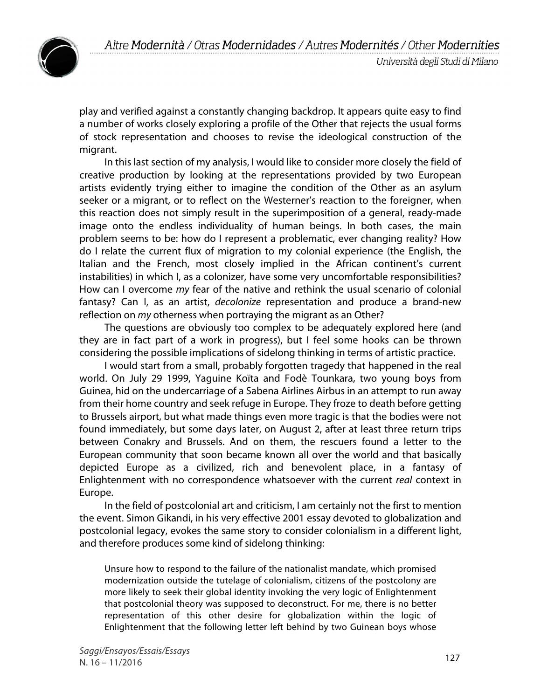

Università degli Studi di Milano

play and verified against a constantly changing backdrop. It appears quite easy to find a number of works closely exploring a profile of the Other that rejects the usual forms of stock representation and chooses to revise the ideological construction of the migrant.

In this last section of my analysis, I would like to consider more closely the field of creative production by looking at the representations provided by two European artists evidently trying either to imagine the condition of the Other as an asylum seeker or a migrant, or to reflect on the Westerner's reaction to the foreigner, when this reaction does not simply result in the superimposition of a general, ready-made image onto the endless individuality of human beings. In both cases, the main problem seems to be: how do I represent a problematic, ever changing reality? How do I relate the current flux of migration to my colonial experience (the English, the Italian and the French, most closely implied in the African continent's current instabilities) in which I, as a colonizer, have some very uncomfortable responsibilities? How can I overcome *my* fear of the native and rethink the usual scenario of colonial fantasy? Can I, as an artist, *decolonize* representation and produce a brand-new reflection on *my* otherness when portraying the migrant as an Other?

The questions are obviously too complex to be adequately explored here (and they are in fact part of a work in progress), but I feel some hooks can be thrown considering the possible implications of sidelong thinking in terms of artistic practice.

I would start from a small, probably forgotten tragedy that happened in the real world. On July 29 1999, Yaguine Koïta and Fodè Tounkara, two young boys from Guinea, hid on the undercarriage of a Sabena Airlines Airbus in an attempt to run away from their home country and seek refuge in Europe. They froze to death before getting to Brussels airport, but what made things even more tragic is that the bodies were not found immediately, but some days later, on August 2, after at least three return trips between Conakry and Brussels. And on them, the rescuers found a letter to the European community that soon became known all over the world and that basically depicted Europe as a civilized, rich and benevolent place, in a fantasy of Enlightenment with no correspondence whatsoever with the current *real* context in Europe.

In the field of postcolonial art and criticism, I am certainly not the first to mention the event. Simon Gikandi, in his very effective 2001 essay devoted to globalization and postcolonial legacy, evokes the same story to consider colonialism in a different light, and therefore produces some kind of sidelong thinking:

Unsure how to respond to the failure of the nationalist mandate, which promised modernization outside the tutelage of colonialism, citizens of the postcolony are more likely to seek their global identity invoking the very logic of Enlightenment that postcolonial theory was supposed to deconstruct. For me, there is no better representation of this other desire for globalization within the logic of Enlightenment that the following letter left behind by two Guinean boys whose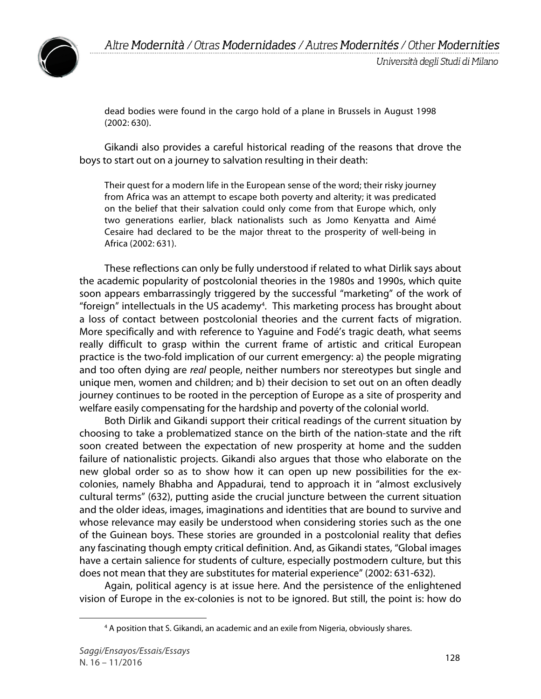

dead bodies were found in the cargo hold of a plane in Brussels in August 1998 (2002: 630).

Gikandi also provides a careful historical reading of the reasons that drove the boys to start out on a journey to salvation resulting in their death:

Their quest for a modern life in the European sense of the word; their risky journey from Africa was an attempt to escape both poverty and alterity; it was predicated on the belief that their salvation could only come from that Europe which, only two generations earlier, black nationalists such as Jomo Kenyatta and Aimé Cesaire had declared to be the major threat to the prosperity of well-being in Africa (2002: 631).

These reflections can only be fully understood if related to what Dirlik says about the academic popularity of postcolonial theories in the 1980s and 1990s, which quite soon appears embarrassingly triggered by the successful "marketing" of the work of "foreign" intellectuals in the US academy<sup>4</sup>. This marketing process has brought about a loss of contact between postcolonial theories and the current facts of migration. More specifically and with reference to Yaguine and Fodé's tragic death, what seems really difficult to grasp within the current frame of artistic and critical European practice is the two-fold implication of our current emergency: a) the people migrating and too often dying are *real* people, neither numbers nor stereotypes but single and unique men, women and children; and b) their decision to set out on an often deadly journey continues to be rooted in the perception of Europe as a site of prosperity and welfare easily compensating for the hardship and poverty of the colonial world.

Both Dirlik and Gikandi support their critical readings of the current situation by choosing to take a problematized stance on the birth of the nation-state and the rift soon created between the expectation of new prosperity at home and the sudden failure of nationalistic projects. Gikandi also argues that those who elaborate on the new global order so as to show how it can open up new possibilities for the excolonies, namely Bhabha and Appadurai, tend to approach it in "almost exclusively cultural terms" (632), putting aside the crucial juncture between the current situation and the older ideas, images, imaginations and identities that are bound to survive and whose relevance may easily be understood when considering stories such as the one of the Guinean boys. These stories are grounded in a postcolonial reality that defies any fascinating though empty critical definition. And, as Gikandi states, "Global images have a certain salience for students of culture, especially postmodern culture, but this does not mean that they are substitutes for material experience" (2002: 631-632).

Again, political agency is at issue here. And the persistence of the enlightened vision of Europe in the ex-colonies is not to be ignored. But still, the point is: how do

<sup>4</sup> A position that S. Gikandi, an academic and an exile from Nigeria, obviously shares.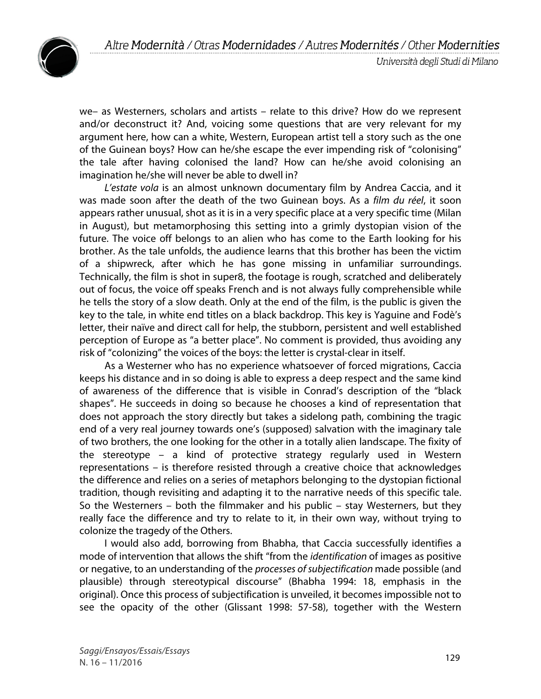



we– as Westerners, scholars and artists – relate to this drive? How do we represent and/or deconstruct it? And, voicing some questions that are very relevant for my argument here, how can a white, Western, European artist tell a story such as the one of the Guinean boys? How can he/she escape the ever impending risk of "colonising" the tale after having colonised the land? How can he/she avoid colonising an imagination he/she will never be able to dwell in?

*L'estate vola* is an almost unknown documentary film by Andrea Caccia, and it was made soon after the death of the two Guinean boys. As a *film du réel*, it soon appears rather unusual, shot as it is in a very specific place at a very specific time (Milan in August), but metamorphosing this setting into a grimly dystopian vision of the future. The voice off belongs to an alien who has come to the Earth looking for his brother. As the tale unfolds, the audience learns that this brother has been the victim of a shipwreck, after which he has gone missing in unfamiliar surroundings. Technically, the film is shot in super8, the footage is rough, scratched and deliberately out of focus, the voice off speaks French and is not always fully comprehensible while he tells the story of a slow death. Only at the end of the film, is the public is given the key to the tale, in white end titles on a black backdrop. This key is Yaguine and Fodè's letter, their naïve and direct call for help, the stubborn, persistent and well established perception of Europe as "a better place". No comment is provided, thus avoiding any risk of "colonizing" the voices of the boys: the letter is crystal-clear in itself.

As a Westerner who has no experience whatsoever of forced migrations, Caccia keeps his distance and in so doing is able to express a deep respect and the same kind of awareness of the difference that is visible in Conrad's description of the "black shapes". He succeeds in doing so because he chooses a kind of representation that does not approach the story directly but takes a sidelong path, combining the tragic end of a very real journey towards one's (supposed) salvation with the imaginary tale of two brothers, the one looking for the other in a totally alien landscape. The fixity of the stereotype – a kind of protective strategy regularly used in Western representations – is therefore resisted through a creative choice that acknowledges the difference and relies on a series of metaphors belonging to the dystopian fictional tradition, though revisiting and adapting it to the narrative needs of this specific tale. So the Westerners – both the filmmaker and his public – stay Westerners, but they really face the difference and try to relate to it, in their own way, without trying to colonize the tragedy of the Others.

I would also add, borrowing from Bhabha, that Caccia successfully identifies a mode of intervention that allows the shift "from the *identification* of images as positive or negative, to an understanding of the *processes of subjectification* made possible (and plausible) through stereotypical discourse" (Bhabha 1994: 18, emphasis in the original). Once this process of subjectification is unveiled, it becomes impossible not to see the opacity of the other (Glissant 1998: 57-58), together with the Western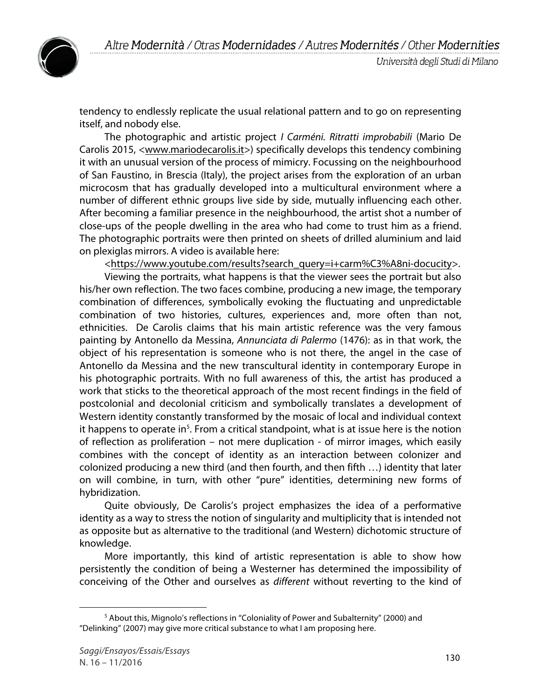



tendency to endlessly replicate the usual relational pattern and to go on representing itself, and nobody else.

The photographic and artistic project *I Carméni. Ritratti improbabili* (Mario De Carolis 2015, <www.mariodecarolis.it>) specifically develops this tendency combining it with an unusual version of the process of mimicry. Focussing on the neighbourhood of San Faustino, in Brescia (Italy), the project arises from the exploration of an urban microcosm that has gradually developed into a multicultural environment where a number of different ethnic groups live side by side, mutually influencing each other. After becoming a familiar presence in the neighbourhood, the artist shot a number of close-ups of the people dwelling in the area who had come to trust him as a friend. The photographic portraits were then printed on sheets of drilled aluminium and laid on plexiglas mirrors. A video is available here:

<https://www.youtube.com/results?search\_query=i+carm%C3%A8ni-docucity>.

Viewing the portraits, what happens is that the viewer sees the portrait but also his/her own reflection. The two faces combine, producing a new image, the temporary combination of differences, symbolically evoking the fluctuating and unpredictable combination of two histories, cultures, experiences and, more often than not, ethnicities. De Carolis claims that his main artistic reference was the very famous painting by Antonello da Messina, *Annunciata di Palermo* (1476): as in that work, the object of his representation is someone who is not there, the angel in the case of Antonello da Messina and the new transcultural identity in contemporary Europe in his photographic portraits. With no full awareness of this, the artist has produced a work that sticks to the theoretical approach of the most recent findings in the field of postcolonial and decolonial criticism and symbolically translates a development of Western identity constantly transformed by the mosaic of local and individual context it happens to operate in<sup>5</sup>. From a critical standpoint, what is at issue here is the notion of reflection as proliferation – not mere duplication - of mirror images, which easily combines with the concept of identity as an interaction between colonizer and colonized producing a new third (and then fourth, and then fifth …) identity that later on will combine, in turn, with other "pure" identities, determining new forms of hybridization.

Quite obviously, De Carolis's project emphasizes the idea of a performative identity as a way to stress the notion of singularity and multiplicity that is intended not as opposite but as alternative to the traditional (and Western) dichotomic structure of knowledge.

More importantly, this kind of artistic representation is able to show how persistently the condition of being a Westerner has determined the impossibility of conceiving of the Other and ourselves as *different* without reverting to the kind of

 $5$  About this, Mignolo's reflections in "Coloniality of Power and Subalternity" (2000) and "Delinking" (2007) may give more critical substance to what I am proposing here.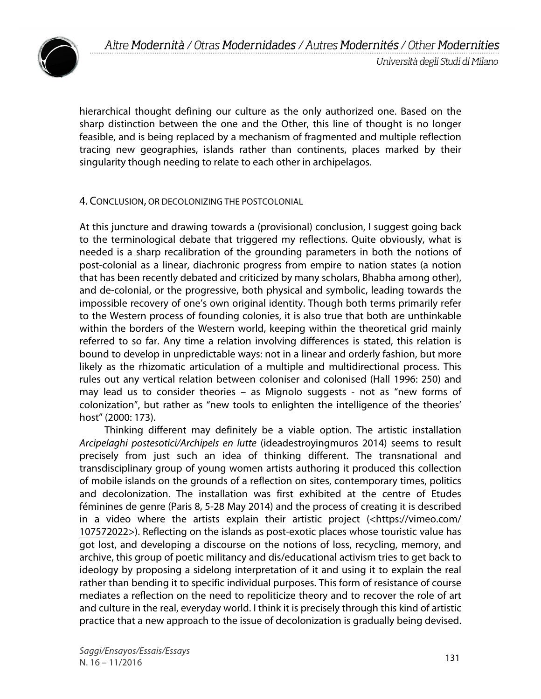

hierarchical thought defining our culture as the only authorized one. Based on the sharp distinction between the one and the Other, this line of thought is no longer feasible, and is being replaced by a mechanism of fragmented and multiple reflection tracing new geographies, islands rather than continents, places marked by their singularity though needing to relate to each other in archipelagos.

#### 4. CONCLUSION, OR DECOLONIZING THE POSTCOLONIAL

At this juncture and drawing towards a (provisional) conclusion, I suggest going back to the terminological debate that triggered my reflections. Quite obviously, what is needed is a sharp recalibration of the grounding parameters in both the notions of post-colonial as a linear, diachronic progress from empire to nation states (a notion that has been recently debated and criticized by many scholars, Bhabha among other), and de-colonial, or the progressive, both physical and symbolic, leading towards the impossible recovery of one's own original identity. Though both terms primarily refer to the Western process of founding colonies, it is also true that both are unthinkable within the borders of the Western world, keeping within the theoretical grid mainly referred to so far. Any time a relation involving differences is stated, this relation is bound to develop in unpredictable ways: not in a linear and orderly fashion, but more likely as the rhizomatic articulation of a multiple and multidirectional process. This rules out any vertical relation between coloniser and colonised (Hall 1996: 250) and may lead us to consider theories – as Mignolo suggests - not as "new forms of colonization", but rather as "new tools to enlighten the intelligence of the theories' host" (2000: 173).

Thinking different may definitely be a viable option. The artistic installation *Arcipelaghi postesotici/Archipels en lutte* (ideadestroyingmuros 2014) seems to result precisely from just such an idea of thinking different. The transnational and transdisciplinary group of young women artists authoring it produced this collection of mobile islands on the grounds of a reflection on sites, contemporary times, politics and decolonization. The installation was first exhibited at the centre of Etudes féminines de genre (Paris 8, 5-28 May 2014) and the process of creating it is described in a video where the artists explain their artistic project (<https://vimeo.com/ 107572022>). Reflecting on the islands as post-exotic places whose touristic value has got lost, and developing a discourse on the notions of loss, recycling, memory, and archive, this group of poetic militancy and dis/educational activism tries to get back to ideology by proposing a sidelong interpretation of it and using it to explain the real rather than bending it to specific individual purposes. This form of resistance of course mediates a reflection on the need to repoliticize theory and to recover the role of art and culture in the real, everyday world. I think it is precisely through this kind of artistic practice that a new approach to the issue of decolonization is gradually being devised.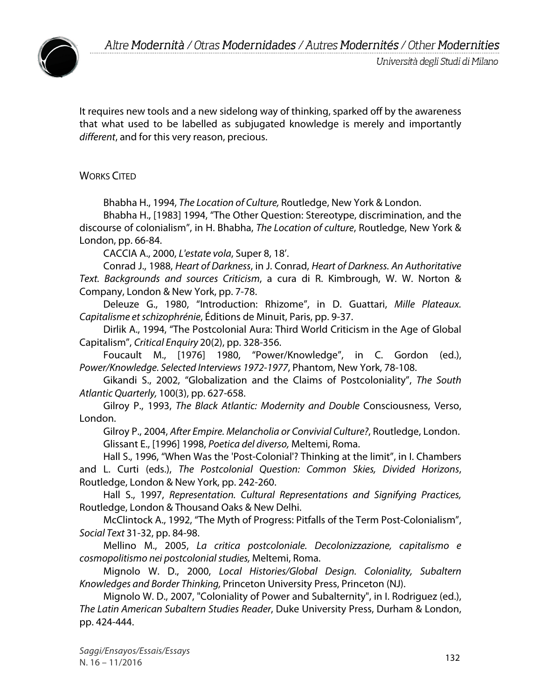

It requires new tools and a new sidelong way of thinking, sparked off by the awareness that what used to be labelled as subjugated knowledge is merely and importantly *different*, and for this very reason, precious.

### WORKS CITED

Bhabha H., 1994, *The Location of Culture,* Routledge, New York & London.

Bhabha H., [1983] 1994, "The Other Question: Stereotype, discrimination, and the discourse of colonialism", in H. Bhabha, *The Location of culture*, Routledge, New York & London, pp. 66-84.

CACCIA A., 2000, *L'estate vola*, Super 8, 18'.

Conrad J., 1988, *Heart of Darkness*, in J. Conrad, *Heart of Darkness. An Authoritative Text. Backgrounds and sources Criticism*, a cura di R. Kimbrough, W. W. Norton & Company, London & New York, pp. 7-78.

Deleuze G., 1980, "Introduction: Rhizome", in D. Guattari, *Mille Plateaux. Capitalisme et schizophrénie*, Éditions de Minuit, Paris, pp. 9-37.

Dirlik A., 1994, "The Postcolonial Aura: Third World Criticism in the Age of Global Capitalism", *Critical Enquiry* 20(2), pp. 328-356.

Foucault M., [1976] 1980, "Power/Knowledge", in C. Gordon (ed.), *Power/Knowledge. Selected Interviews 1972-1977*, Phantom, New York, 78-108.

Gikandi S., 2002, "Globalization and the Claims of Postcoloniality", *The South Atlantic Quarterly,* 100(3), pp. 627-658.

Gilroy P., 1993, *The Black Atlantic: Modernity and Double* Consciousness, Verso, London.

Gilroy P., 2004, *After Empire. Melancholia or Convivial Culture?*, Routledge, London. Glissant E., [1996] 1998, *Poetica del diverso,* Meltemi, Roma.

Hall S., 1996, "When Was the 'Post-Colonial'? Thinking at the limit", in I. Chambers and L. Curti (eds.), *The Postcolonial Question: Common Skies, Divided Horizons*, Routledge, London & New York, pp. 242-260.

Hall S., 1997, *Representation. Cultural Representations and Signifying Practices,* Routledge, London & Thousand Oaks & New Delhi.

McClintock A., 1992, "The Myth of Progress: Pitfalls of the Term Post-Colonialism", *Social Text* 31-32, pp. 84-98.

Mellino M., 2005, *La critica postcoloniale. Decolonizzazione, capitalismo e cosmopolitismo nei postcolonial studies,* Meltemi, Roma.

Mignolo W. D., 2000, *Local Histories/Global Design. Coloniality, Subaltern Knowledges and Border Thinking,* Princeton University Press, Princeton (NJ).

Mignolo W. D., 2007, "Coloniality of Power and Subalternity", in I. Rodriguez (ed.), *The Latin American Subaltern Studies Reader*, Duke University Press, Durham & London, pp. 424-444.